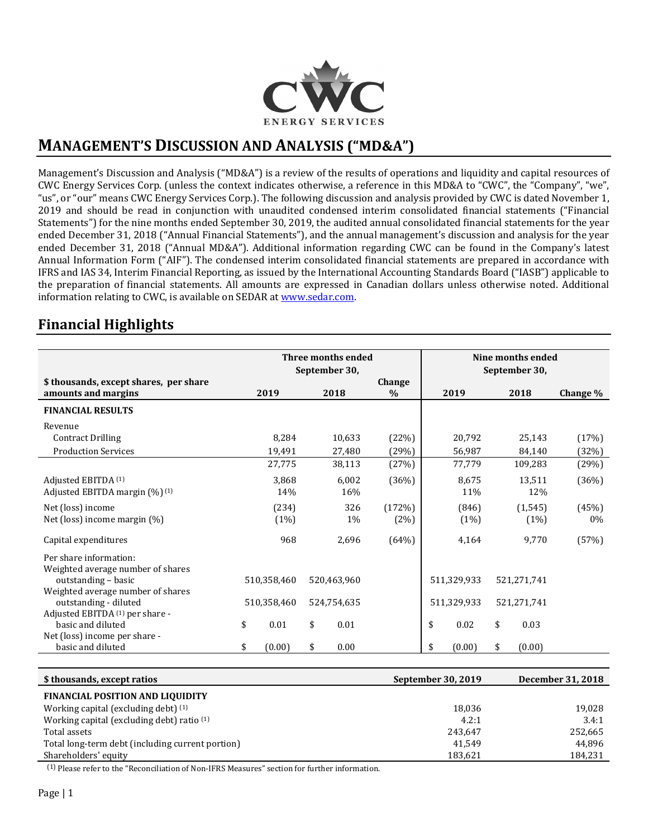

## **MANAGEMENT'S DISCUSSION AND ANALYSIS ("MD&A")**

Management's Discussion and Analysis ("MD&A") is a review of the results of operations and liquidity and capital resources of CWC Energy Services Corp. (unless the context indicates otherwise, a reference in this MD&A to "CWC", the "Company", "we", "us", or "our" means CWC Energy Services Corp.). The following discussion and analysis provided by CWC is dated November 1, 2019 and should be read in conjunction with unaudited condensed interim consolidated financial statements ("Financial Statements") for the nine months ended September 30, 2019, the audited annual consolidated financial statements for the year ended December 31, 2018 ("Annual Financial Statements"), and the annual management's discussion and analysis for the year ended December 31, 2018 ("Annual MD&A"). Additional information regarding CWC can be found in the Company's latest Annual Information Form ("AIF"). The condensed interim consolidated financial statements are prepared in accordance with IFRS and IAS 34, Interim Financial Reporting, as issued by the International Accounting Standards Board ("IASB") applicable to the preparation of financial statements. All amounts are expressed in Canadian dollars unless otherwise noted. Additional information relating to CWC, is available on SEDAR at www.sedar.com.

## **Financial Highlights**

|                                                               |             |              | Three months ended<br>Nine months ended<br>September 30,<br>September 30, |                         |    |              |    |               |             |
|---------------------------------------------------------------|-------------|--------------|---------------------------------------------------------------------------|-------------------------|----|--------------|----|---------------|-------------|
| \$ thousands, except shares, per share<br>amounts and margins |             | 2019         | 2018                                                                      | Change<br>$\frac{0}{0}$ |    | 2019         |    | 2018          | Change $\%$ |
| <b>FINANCIAL RESULTS</b>                                      |             |              |                                                                           |                         |    |              |    |               |             |
| Revenue                                                       |             |              |                                                                           |                         |    |              |    |               |             |
| <b>Contract Drilling</b>                                      |             | 8,284        | 10,633                                                                    | (22%)                   |    | 20,792       |    | 25,143        | (17%)       |
| <b>Production Services</b>                                    |             | 19,491       | 27,480                                                                    | (29%)                   |    | 56,987       |    | 84,140        | (32%)       |
|                                                               |             | 27.775       | 38,113                                                                    | (27%)                   |    | 77,779       |    | 109,283       | (29%)       |
| Adjusted EBITDA (1)<br>Adjusted EBITDA margin (%) (1)         |             | 3,868<br>14% | 6,002<br>16%                                                              | (36%)                   |    | 8,675<br>11% |    | 13,511<br>12% | (36%)       |
| Net (loss) income                                             |             | (234)        | 326                                                                       | (172%)                  |    | (846)        |    | (1, 545)      | (45%)       |
| Net (loss) income margin (%)                                  |             | (1%)         | $1\%$                                                                     | (2%)                    |    | (1%)         |    | (1%)          | 0%          |
| Capital expenditures                                          |             | 968          | 2,696                                                                     | (64%)                   |    | 4,164        |    | 9,770         | (57%)       |
| Per share information:<br>Weighted average number of shares   |             |              |                                                                           |                         |    |              |    |               |             |
| outstanding - basic<br>Weighted average number of shares      |             | 510,358,460  | 520.463.960                                                               |                         |    | 511,329,933  |    | 521,271,741   |             |
| outstanding - diluted                                         | 510,358,460 |              | 524,754,635                                                               |                         |    | 511,329,933  |    | 521,271,741   |             |
| Adjusted EBITDA (1) per share -                               |             |              |                                                                           |                         |    |              |    |               |             |
| basic and diluted                                             | \$          | 0.01         | \$<br>0.01                                                                |                         | \$ | 0.02         | \$ | 0.03          |             |
| Net (loss) income per share -<br>basic and diluted            | \$          | (0.00)       | \$<br>0.00                                                                |                         | \$ | (0.00)       | \$ | (0.00)        |             |

| \$ thousands, except ratios                           | September 30, 2019 | December 31, 2018 |
|-------------------------------------------------------|--------------------|-------------------|
| <b>FINANCIAL POSITION AND LIQUIDITY</b>               |                    |                   |
| Working capital (excluding debt) (1)                  | 18,036             | 19,028            |
| Working capital (excluding debt) ratio <sup>(1)</sup> | 4.2:1              | 3.4:1             |
| Total assets                                          | 243.647            | 252,665           |
| Total long-term debt (including current portion)      | 41.549             | 44,896            |
| Shareholders' equity                                  | 183,621            | 184,231           |

(1) Please refer to the "Reconciliation of Non-IFRS Measures" section for further information.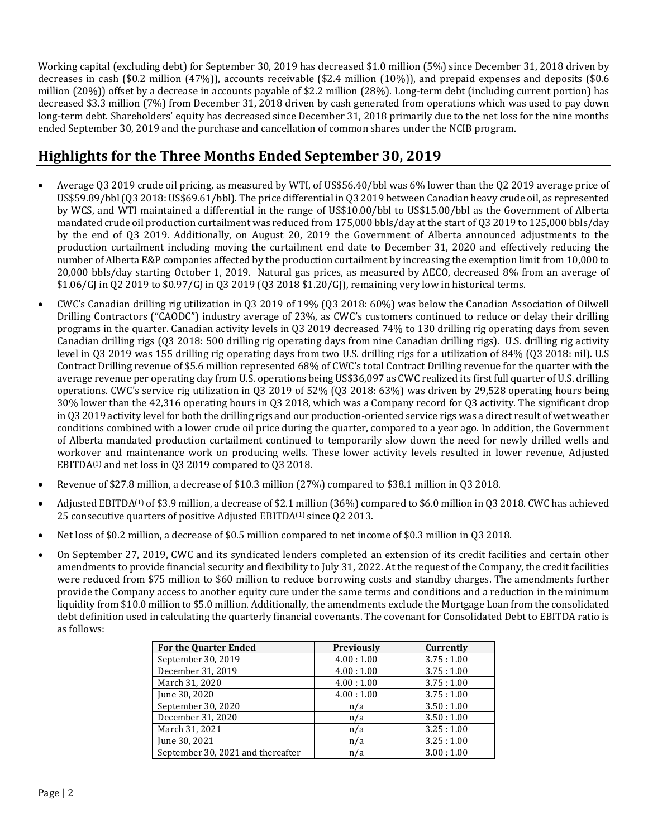Working capital (excluding debt) for September 30, 2019 has decreased \$1.0 million (5%) since December 31, 2018 driven by decreases in cash (\$0.2 million (47%)), accounts receivable (\$2.4 million (10%)), and prepaid expenses and deposits (\$0.6 million (20%)) offset by a decrease in accounts payable of \$2.2 million (28%). Long-term debt (including current portion) has decreased \$3.3 million (7%) from December 31, 2018 driven by cash generated from operations which was used to pay down long-term debt. Shareholders' equity has decreased since December 31, 2018 primarily due to the net loss for the nine months ended September 30, 2019 and the purchase and cancellation of common shares under the NCIB program.

# **Highlights for the Three Months Ended September 30, 2019**

- Average Q3 2019 crude oil pricing, as measured by WTI, of US\$56.40/bbl was 6% lower than the Q2 2019 average price of US\$59.89/bbl (Q3 2018: US\$69.61/bbl). The price differential in Q3 2019 between Canadian heavy crude oil, as represented by WCS, and WTI maintained a differential in the range of US\$10.00/bbl to US\$15.00/bbl as the Government of Alberta mandated crude oil production curtailment was reduced from 175,000 bbls/day at the start of Q3 2019 to 125,000 bbls/day by the end of Q3 2019. Additionally, on August 20, 2019 the Government of Alberta announced adjustments to the production curtailment including moving the curtailment end date to December 31, 2020 and effectively reducing the number of Alberta E&P companies affected by the production curtailment by increasing the exemption limit from 10,000 to 20,000 bbls/day starting October 1, 2019. Natural gas prices, as measured by AECO, decreased 8% from an average of \$1.06/GJ in Q2 2019 to \$0.97/GJ in Q3 2019 (Q3 2018 \$1.20/GJ), remaining very low in historical terms.
- CWC's Canadian drilling rig utilization in Q3 2019 of 19% (Q3 2018: 60%) was below the Canadian Association of Oilwell Drilling Contractors ("CAODC") industry average of 23%, as CWC's customers continued to reduce or delay their drilling programs in the quarter. Canadian activity levels in Q3 2019 decreased 74% to 130 drilling rig operating days from seven Canadian drilling rigs (Q3 2018: 500 drilling rig operating days from nine Canadian drilling rigs). U.S. drilling rig activity level in Q3 2019 was 155 drilling rig operating days from two U.S. drilling rigs for a utilization of 84% (Q3 2018: nil). U.S Contract Drilling revenue of \$5.6 million represented 68% of CWC's total Contract Drilling revenue for the quarter with the average revenue per operating day from U.S. operations being US\$36,097 as CWC realized its first full quarter of U.S. drilling operations. CWC's service rig utilization in Q3 2019 of 52% (Q3 2018: 63%) was driven by 29,528 operating hours being 30% lower than the 42,316 operating hours in Q3 2018, which was a Company record for Q3 activity. The significant drop in Q3 2019 activity level for both the drilling rigs and our production-oriented service rigs was a direct result of wet weather conditions combined with a lower crude oil price during the quarter, compared to a year ago. In addition, the Government of Alberta mandated production curtailment continued to temporarily slow down the need for newly drilled wells and workover and maintenance work on producing wells. These lower activity levels resulted in lower revenue, Adjusted EBITDA(1) and net loss in Q3 2019 compared to Q3 2018.
- Revenue of \$27.8 million, a decrease of \$10.3 million (27%) compared to \$38.1 million in Q3 2018.
- Adjusted EBITDA<sup>(1)</sup> of \$3.9 million, a decrease of \$2.1 million (36%) compared to \$6.0 million in Q3 2018. CWC has achieved 25 consecutive quarters of positive Adjusted EBITDA(1) since Q2 2013.
- Net loss of \$0.2 million, a decrease of \$0.5 million compared to net income of \$0.3 million in Q3 2018.
- On September 27, 2019, CWC and its syndicated lenders completed an extension of its credit facilities and certain other amendments to provide financial security and flexibility to July 31, 2022. At the request of the Company, the credit facilities were reduced from \$75 million to \$60 million to reduce borrowing costs and standby charges. The amendments further provide the Company access to another equity cure under the same terms and conditions and a reduction in the minimum liquidity from \$10.0 million to \$5.0 million. Additionally, the amendments exclude the Mortgage Loan from the consolidated debt definition used in calculating the quarterly financial covenants. The covenant for Consolidated Debt to EBITDA ratio is as follows:

| <b>For the Quarter Ended</b>      | <b>Previously</b> | Currently |
|-----------------------------------|-------------------|-----------|
| September 30, 2019                | 4.00:1.00         | 3.75:1.00 |
| December 31, 2019                 | 4.00:1.00         | 3.75:1.00 |
| March 31, 2020                    | 4.00:1.00         | 3.75:1.00 |
| June 30, 2020                     | 4.00:1.00         | 3.75:1.00 |
| September 30, 2020                | n/a               | 3.50:1.00 |
| December 31, 2020                 | n/a               | 3.50:1.00 |
| March 31, 2021                    | n/a               | 3.25:1.00 |
| June 30, 2021                     | n/a               | 3.25:1.00 |
| September 30, 2021 and thereafter | n/a               | 3.00:1.00 |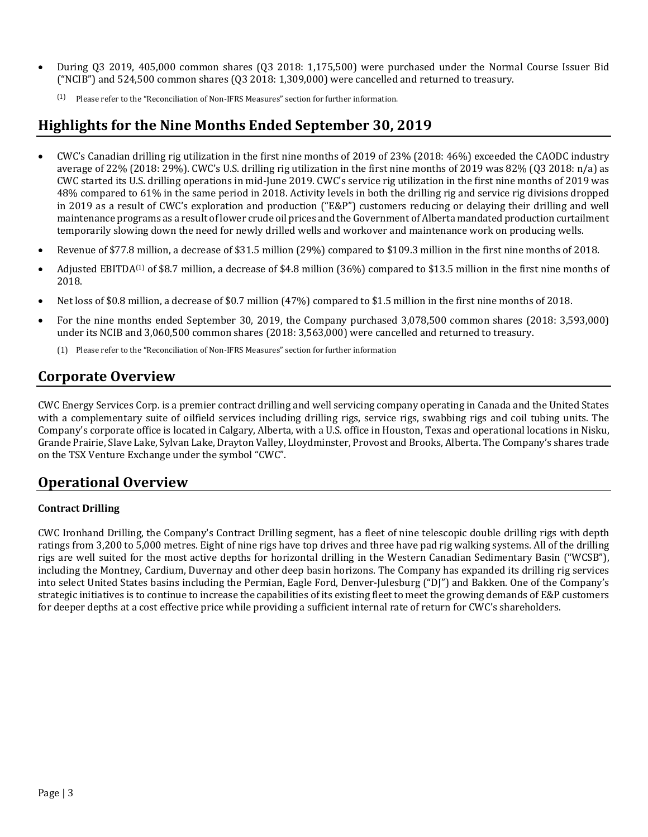- During Q3 2019, 405,000 common shares (Q3 2018: 1,175,500) were purchased under the Normal Course Issuer Bid ("NCIB") and 524,500 common shares (Q3 2018: 1,309,000) were cancelled and returned to treasury.
	- (1) Please refer to the "Reconciliation of Non-IFRS Measures" section for further information.

### **Highlights for the Nine Months Ended September 30, 2019**

- CWC's Canadian drilling rig utilization in the first nine months of 2019 of 23% (2018: 46%) exceeded the CAODC industry average of 22% (2018: 29%). CWC's U.S. drilling rig utilization in the first nine months of 2019 was 82% (Q3 2018: n/a) as CWC started its U.S. drilling operations in mid-June 2019. CWC's service rig utilization in the first nine months of 2019 was 48% compared to 61% in the same period in 2018. Activity levels in both the drilling rig and service rig divisions dropped in 2019 as a result of CWC's exploration and production ("E&P") customers reducing or delaying their drilling and well maintenance programs as a result of lower crude oil prices and the Government of Alberta mandated production curtailment temporarily slowing down the need for newly drilled wells and workover and maintenance work on producing wells.
- Revenue of \$77.8 million, a decrease of \$31.5 million (29%) compared to \$109.3 million in the first nine months of 2018.
- Adjusted EBITDA<sup>(1)</sup> of \$8.7 million, a decrease of \$4.8 million (36%) compared to \$13.5 million in the first nine months of 2018.
- Net loss of \$0.8 million, a decrease of \$0.7 million (47%) compared to \$1.5 million in the first nine months of 2018.
- For the nine months ended September 30, 2019, the Company purchased 3,078,500 common shares (2018: 3,593,000) under its NCIB and 3,060,500 common shares (2018: 3,563,000) were cancelled and returned to treasury.
	- (1) Please refer to the "Reconciliation of Non-IFRS Measures" section for further information

## **Corporate Overview**

CWC Energy Services Corp. is a premier contract drilling and well servicing company operating in Canada and the United States with a complementary suite of oilfield services including drilling rigs, service rigs, swabbing rigs and coil tubing units. The Company's corporate office is located in Calgary, Alberta, with a U.S. office in Houston, Texas and operational locations in Nisku, Grande Prairie, Slave Lake, Sylvan Lake, Drayton Valley, Lloydminster, Provost and Brooks, Alberta. The Company's shares trade on the TSX Venture Exchange under the symbol "CWC".

### **Operational Overview**

### **Contract Drilling**

CWC Ironhand Drilling, the Company's Contract Drilling segment, has a fleet of nine telescopic double drilling rigs with depth ratings from 3,200 to 5,000 metres. Eight of nine rigs have top drives and three have pad rig walking systems. All of the drilling rigs are well suited for the most active depths for horizontal drilling in the Western Canadian Sedimentary Basin ("WCSB"), including the Montney, Cardium, Duvernay and other deep basin horizons. The Company has expanded its drilling rig services into select United States basins including the Permian, Eagle Ford, Denver-Julesburg ("DJ") and Bakken. One of the Company's strategic initiatives is to continue to increase the capabilities of its existing fleet to meet the growing demands of E&P customers for deeper depths at a cost effective price while providing a sufficient internal rate of return for CWC's shareholders.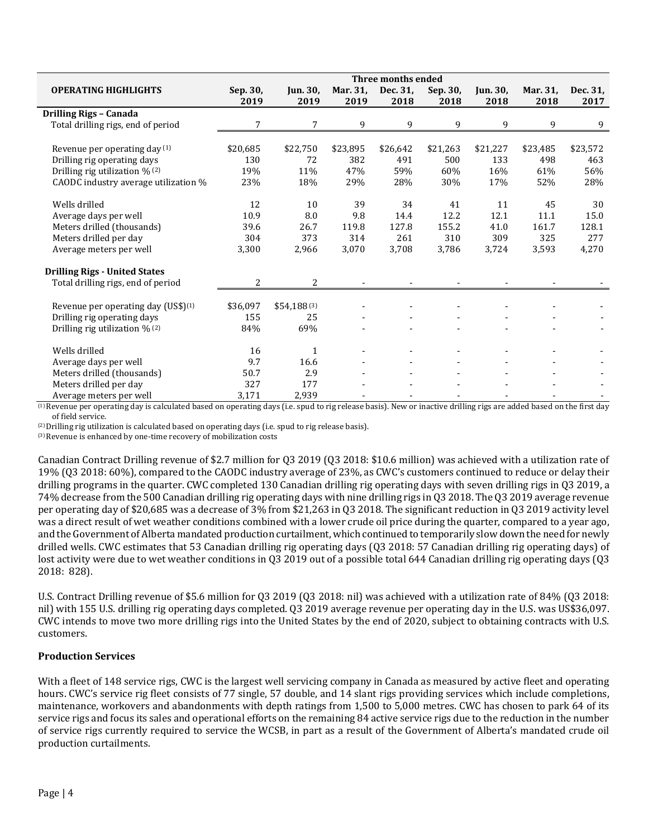|                                                 |          |                 |          | <b>Three months ended</b> |          |                     |          |          |
|-------------------------------------------------|----------|-----------------|----------|---------------------------|----------|---------------------|----------|----------|
| <b>OPERATING HIGHLIGHTS</b>                     | Sep. 30, | <b>Jun. 30,</b> | Mar. 31, | Dec. 31,                  | Sep. 30, | $\mathbf{u}$ n. 30, | Mar. 31, | Dec. 31, |
|                                                 | 2019     | 2019            | 2019     | 2018                      | 2018     | 2018                | 2018     | 2017     |
| Drilling Rigs - Canada                          |          |                 |          |                           |          |                     |          |          |
| Total drilling rigs, end of period              | 7        | 7               | 9        | 9                         | 9        | 9                   | 9        | 9        |
|                                                 |          |                 |          |                           |          |                     |          |          |
| Revenue per operating day (1)                   | \$20,685 | \$22,750        | \$23,895 | \$26,642                  | \$21,263 | \$21,227            | \$23,485 | \$23,572 |
| Drilling rig operating days                     | 130      | 72              | 382      | 491                       | 500      | 133                 | 498      | 463      |
| Drilling rig utilization % (2)                  | 19%      | 11%             | 47%      | 59%                       | 60%      | 16%                 | 61%      | 56%      |
| CAODC industry average utilization %            | 23%      | 18%             | 29%      | 28%                       | 30%      | 17%                 | 52%      | 28%      |
|                                                 |          |                 |          |                           |          |                     |          |          |
| Wells drilled                                   | 12       | 10              | 39       | 34                        | 41       | 11                  | 45       | 30       |
| Average days per well                           | 10.9     | 8.0             | 9.8      | 14.4                      | 12.2     | 12.1                | 11.1     | 15.0     |
| Meters drilled (thousands)                      | 39.6     | 26.7            | 119.8    | 127.8                     | 155.2    | 41.0                | 161.7    | 128.1    |
| Meters drilled per day                          | 304      | 373             | 314      | 261                       | 310      | 309                 | 325      | 277      |
| Average meters per well                         | 3,300    | 2,966           | 3,070    | 3,708                     | 3,786    | 3,724               | 3,593    | 4,270    |
|                                                 |          |                 |          |                           |          |                     |          |          |
| <b>Drilling Rigs - United States</b>            |          |                 |          |                           |          |                     |          |          |
| Total drilling rigs, end of period              | 2        | 2               |          |                           |          |                     |          |          |
|                                                 |          |                 |          |                           |          |                     |          |          |
| Revenue per operating day (US\$) <sup>(1)</sup> | \$36,097 | $$54,188^{(3)}$ |          |                           |          |                     |          |          |
| Drilling rig operating days                     | 155      | 25              |          |                           |          |                     |          |          |
| Drilling rig utilization % (2)                  | 84%      | 69%             |          |                           |          |                     |          |          |
|                                                 |          |                 |          |                           |          |                     |          |          |
| Wells drilled                                   | 16       | $\mathbf{1}$    |          |                           |          |                     |          |          |
| Average days per well                           | 9.7      | 16.6            |          |                           |          |                     |          |          |
| Meters drilled (thousands)                      | 50.7     | 2.9             |          |                           |          |                     |          |          |
| Meters drilled per day                          | 327      | 177             |          |                           |          |                     |          |          |
| Average meters per well                         | 3,171    | 2,939           |          |                           |          |                     |          |          |

(1) Revenue per operating day is calculated based on operating days (i.e. spud to rig release basis). New or inactive drilling rigs are added based on the first day of field service.

(2) Drilling rig utilization is calculated based on operating days (i.e. spud to rig release basis).

(3) Revenue is enhanced by one-time recovery of mobilization costs

Canadian Contract Drilling revenue of \$2.7 million for Q3 2019 (Q3 2018: \$10.6 million) was achieved with a utilization rate of 19% (Q3 2018: 60%), compared to the CAODC industry average of 23%, as CWC's customers continued to reduce or delay their drilling programs in the quarter. CWC completed 130 Canadian drilling rig operating days with seven drilling rigs in Q3 2019, a 74% decrease from the 500 Canadian drilling rig operating days with nine drilling rigs in Q3 2018. The Q3 2019 average revenue per operating day of \$20,685 was a decrease of 3% from \$21,263 in Q3 2018. The significant reduction in Q3 2019 activity level was a direct result of wet weather conditions combined with a lower crude oil price during the quarter, compared to a year ago, and the Government of Alberta mandated production curtailment, which continued to temporarily slow down the need for newly drilled wells. CWC estimates that 53 Canadian drilling rig operating days (Q3 2018: 57 Canadian drilling rig operating days) of lost activity were due to wet weather conditions in Q3 2019 out of a possible total 644 Canadian drilling rig operating days (Q3 2018: 828).

U.S. Contract Drilling revenue of \$5.6 million for Q3 2019 (Q3 2018: nil) was achieved with a utilization rate of 84% (Q3 2018: nil) with 155 U.S. drilling rig operating days completed. Q3 2019 average revenue per operating day in the U.S. was US\$36,097. CWC intends to move two more drilling rigs into the United States by the end of 2020, subject to obtaining contracts with U.S. customers.

### **Production Services**

With a fleet of 148 service rigs, CWC is the largest well servicing company in Canada as measured by active fleet and operating hours. CWC's service rig fleet consists of 77 single, 57 double, and 14 slant rigs providing services which include completions, maintenance, workovers and abandonments with depth ratings from 1,500 to 5,000 metres. CWC has chosen to park 64 of its service rigs and focus its sales and operational efforts on the remaining 84 active service rigs due to the reduction in the number of service rigs currently required to service the WCSB, in part as a result of the Government of Alberta's mandated crude oil production curtailments.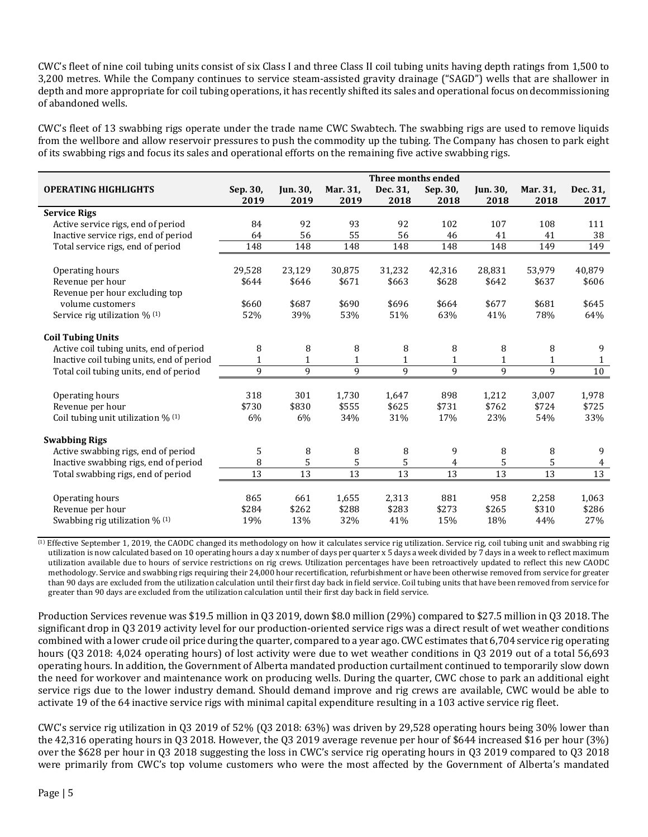CWC's fleet of nine coil tubing units consist of six Class I and three Class II coil tubing units having depth ratings from 1,500 to 3,200 metres. While the Company continues to service steam-assisted gravity drainage ("SAGD") wells that are shallower in depth and more appropriate for coil tubing operations, it has recently shifted its sales and operational focus on decommissioning of abandoned wells.

CWC's fleet of 13 swabbing rigs operate under the trade name CWC Swabtech. The swabbing rigs are used to remove liquids from the wellbore and allow reservoir pressures to push the commodity up the tubing. The Company has chosen to park eight of its swabbing rigs and focus its sales and operational efforts on the remaining five active swabbing rigs.

|                                                    |                  |                  |                  | Three months ended |                  |                         |                  |                  |
|----------------------------------------------------|------------------|------------------|------------------|--------------------|------------------|-------------------------|------------------|------------------|
| <b>OPERATING HIGHLIGHTS</b>                        | Sep. 30,<br>2019 | Jun. 30,<br>2019 | Mar. 31,<br>2019 | Dec. 31,<br>2018   | Sep. 30,<br>2018 | <b>Jun. 30,</b><br>2018 | Mar. 31,<br>2018 | Dec. 31,<br>2017 |
| <b>Service Rigs</b>                                |                  |                  |                  |                    |                  |                         |                  |                  |
| Active service rigs, end of period                 | 84               | 92               | 93               | 92                 | 102              | 107                     | 108              | 111              |
| Inactive service rigs, end of period               | 64               | 56               | 55               | 56                 | 46               | 41                      | 41               | 38               |
| Total service rigs, end of period                  | 148              | 148              | 148              | 148                | 148              | 148                     | 149              | 149              |
| Operating hours                                    | 29,528           | 23,129           | 30,875           | 31,232             | 42,316           | 28,831                  | 53,979           | 40,879           |
| Revenue per hour                                   | \$644            | \$646            | \$671            | \$663              | \$628            | \$642                   | \$637            | \$606            |
| Revenue per hour excluding top<br>volume customers | \$660            |                  | \$690            |                    |                  |                         |                  | \$645            |
|                                                    | 52%              | \$687<br>39%     | 53%              | \$696<br>51%       | \$664<br>63%     | \$677<br>41%            | \$681<br>78%     | 64%              |
| Service rig utilization % (1)                      |                  |                  |                  |                    |                  |                         |                  |                  |
| <b>Coil Tubing Units</b>                           |                  |                  |                  |                    |                  |                         |                  |                  |
| Active coil tubing units, end of period            | 8                | 8                | 8                | 8                  | 8                | 8                       | 8                | 9                |
| Inactive coil tubing units, end of period          | $\mathbf{1}$     | 1                | 1                | $\mathbf{1}$       | $\mathbf{1}$     | $\mathbf{1}$            | $\mathbf{1}$     | $\mathbf{1}$     |
| Total coil tubing units, end of period             | 9                | 9                | 9                | $\mathbf{q}$       | 9                | 9                       | 9                | 10               |
| Operating hours                                    | 318              | 301              | 1,730            | 1,647              | 898              | 1,212                   | 3,007            | 1,978            |
| Revenue per hour                                   | \$730            | \$830            | \$555            | \$625              | \$731            | \$762                   | \$724            | \$725            |
| Coil tubing unit utilization $\%$ (1)              | 6%               | 6%               | 34%              | 31%                | 17%              | 23%                     | 54%              | 33%              |
| <b>Swabbing Rigs</b>                               |                  |                  |                  |                    |                  |                         |                  |                  |
| Active swabbing rigs, end of period                | $\mathbf 5$      | 8                | 8                | 8                  | 9                | 8                       | 8                | 9                |
| Inactive swabbing rigs, end of period              | 8                | 5                | 5                | 5                  | 4                | 5                       | 5                | 4                |
| Total swabbing rigs, end of period                 | $\overline{13}$  | $\overline{13}$  | 13               | 13                 | 13               | $\overline{13}$         | 13               | 13               |
| Operating hours                                    | 865              | 661              | 1,655            | 2,313              | 881              | 958                     | 2,258            | 1,063            |
| Revenue per hour                                   | \$284            | \$262            | \$288            | \$283              | \$273            | \$265                   | \$310            | \$286            |
| Swabbing rig utilization % (1)                     | 19%              | 13%              | 32%              | 41%                | 15%              | 18%                     | 44%              | 27%              |

 (1) Effective September 1, 2019, the CAODC changed its methodology on how it calculates service rig utilization. Service rig, coil tubing unit and swabbing rig utilization is now calculated based on 10 operating hours a day x number of days per quarter x 5 days a week divided by 7 days in a week to reflect maximum utilization available due to hours of service restrictions on rig crews. Utilization percentages have been retroactively updated to reflect this new CAODC methodology. Service and swabbing rigs requiring their 24,000 hour recertification, refurbishment or have been otherwise removed from service for greater than 90 days are excluded from the utilization calculation until their first day back in field service. Coil tubing units that have been removed from service for greater than 90 days are excluded from the utilization calculation until their first day back in field service.

Production Services revenue was \$19.5 million in Q3 2019, down \$8.0 million (29%) compared to \$27.5 million in Q3 2018. The significant drop in Q3 2019 activity level for our production-oriented service rigs was a direct result of wet weather conditions combined with a lower crude oil price during the quarter, compared to a year ago. CWC estimates that 6,704 service rig operating hours (Q3 2018: 4,024 operating hours) of lost activity were due to wet weather conditions in Q3 2019 out of a total 56,693 operating hours. In addition, the Government of Alberta mandated production curtailment continued to temporarily slow down the need for workover and maintenance work on producing wells. During the quarter, CWC chose to park an additional eight service rigs due to the lower industry demand. Should demand improve and rig crews are available, CWC would be able to activate 19 of the 64 inactive service rigs with minimal capital expenditure resulting in a 103 active service rig fleet.

CWC's service rig utilization in Q3 2019 of 52% (Q3 2018: 63%) was driven by 29,528 operating hours being 30% lower than the 42,316 operating hours in Q3 2018. However, the Q3 2019 average revenue per hour of \$644 increased \$16 per hour (3%) over the \$628 per hour in Q3 2018 suggesting the loss in CWC's service rig operating hours in Q3 2019 compared to Q3 2018 were primarily from CWC's top volume customers who were the most affected by the Government of Alberta's mandated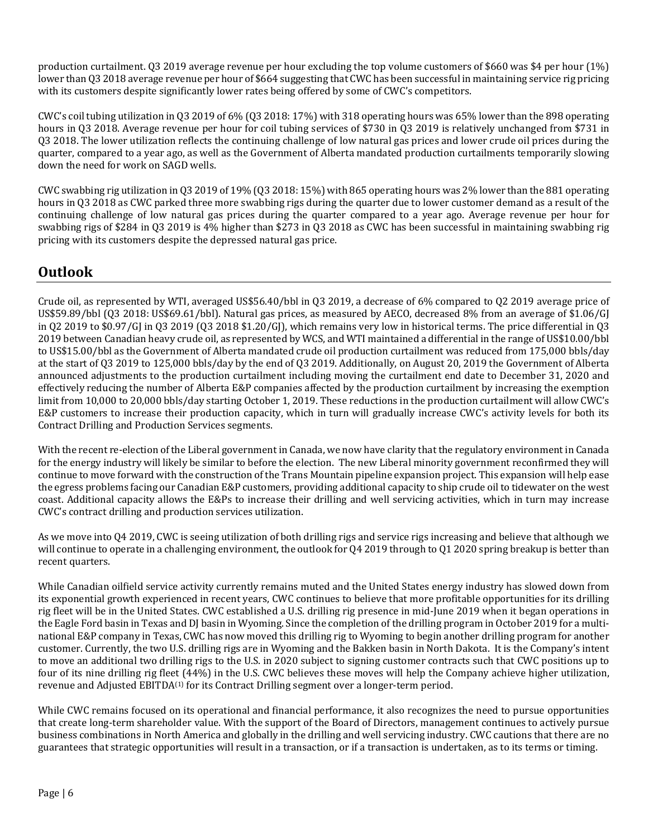production curtailment. Q3 2019 average revenue per hour excluding the top volume customers of \$660 was \$4 per hour (1%) lower than Q3 2018 average revenue per hour of \$664 suggesting that CWC has been successful in maintaining service rig pricing with its customers despite significantly lower rates being offered by some of CWC's competitors.

CWC's coil tubing utilization in Q3 2019 of 6% (Q3 2018: 17%) with 318 operating hours was 65% lower than the 898 operating hours in Q3 2018. Average revenue per hour for coil tubing services of \$730 in Q3 2019 is relatively unchanged from \$731 in Q3 2018. The lower utilization reflects the continuing challenge of low natural gas prices and lower crude oil prices during the quarter, compared to a year ago, as well as the Government of Alberta mandated production curtailments temporarily slowing down the need for work on SAGD wells.

CWC swabbing rig utilization in Q3 2019 of 19% (Q3 2018: 15%) with 865 operating hours was 2% lower than the 881 operating hours in Q3 2018 as CWC parked three more swabbing rigs during the quarter due to lower customer demand as a result of the continuing challenge of low natural gas prices during the quarter compared to a year ago. Average revenue per hour for swabbing rigs of \$284 in Q3 2019 is 4% higher than \$273 in Q3 2018 as CWC has been successful in maintaining swabbing rig pricing with its customers despite the depressed natural gas price.

## **Outlook**

Crude oil, as represented by WTI, averaged US\$56.40/bbl in Q3 2019, a decrease of 6% compared to Q2 2019 average price of US\$59.89/bbl (Q3 2018: US\$69.61/bbl). Natural gas prices, as measured by AECO, decreased 8% from an average of \$1.06/GJ in Q2 2019 to \$0.97/GJ in Q3 2019 (Q3 2018 \$1.20/GJ), which remains very low in historical terms. The price differential in Q3 2019 between Canadian heavy crude oil, as represented by WCS, and WTI maintained a differential in the range of US\$10.00/bbl to US\$15.00/bbl as the Government of Alberta mandated crude oil production curtailment was reduced from 175,000 bbls/day at the start of Q3 2019 to 125,000 bbls/day by the end of Q3 2019. Additionally, on August 20, 2019 the Government of Alberta announced adjustments to the production curtailment including moving the curtailment end date to December 31, 2020 and effectively reducing the number of Alberta E&P companies affected by the production curtailment by increasing the exemption limit from 10,000 to 20,000 bbls/day starting October 1, 2019. These reductions in the production curtailment will allow CWC's E&P customers to increase their production capacity, which in turn will gradually increase CWC's activity levels for both its Contract Drilling and Production Services segments.

With the recent re-election of the Liberal government in Canada, we now have clarity that the regulatory environment in Canada for the energy industry will likely be similar to before the election. The new Liberal minority government reconfirmed they will continue to move forward with the construction of the Trans Mountain pipeline expansion project. This expansion will help ease the egress problems facing our Canadian E&P customers, providing additional capacity to ship crude oil to tidewater on the west coast. Additional capacity allows the E&Ps to increase their drilling and well servicing activities, which in turn may increase CWC's contract drilling and production services utilization.

As we move into Q4 2019, CWC is seeing utilization of both drilling rigs and service rigs increasing and believe that although we will continue to operate in a challenging environment, the outlook for Q4 2019 through to Q1 2020 spring breakup is better than recent quarters.

While Canadian oilfield service activity currently remains muted and the United States energy industry has slowed down from its exponential growth experienced in recent years, CWC continues to believe that more profitable opportunities for its drilling rig fleet will be in the United States. CWC established a U.S. drilling rig presence in mid-June 2019 when it began operations in the Eagle Ford basin in Texas and DJ basin in Wyoming. Since the completion of the drilling program in October 2019 for a multinational E&P company in Texas, CWC has now moved this drilling rig to Wyoming to begin another drilling program for another customer. Currently, the two U.S. drilling rigs are in Wyoming and the Bakken basin in North Dakota. It is the Company's intent to move an additional two drilling rigs to the U.S. in 2020 subject to signing customer contracts such that CWC positions up to four of its nine drilling rig fleet (44%) in the U.S. CWC believes these moves will help the Company achieve higher utilization, revenue and Adjusted EBITDA<sup>(1)</sup> for its Contract Drilling segment over a longer-term period.

While CWC remains focused on its operational and financial performance, it also recognizes the need to pursue opportunities that create long-term shareholder value. With the support of the Board of Directors, management continues to actively pursue business combinations in North America and globally in the drilling and well servicing industry. CWC cautions that there are no guarantees that strategic opportunities will result in a transaction, or if a transaction is undertaken, as to its terms or timing.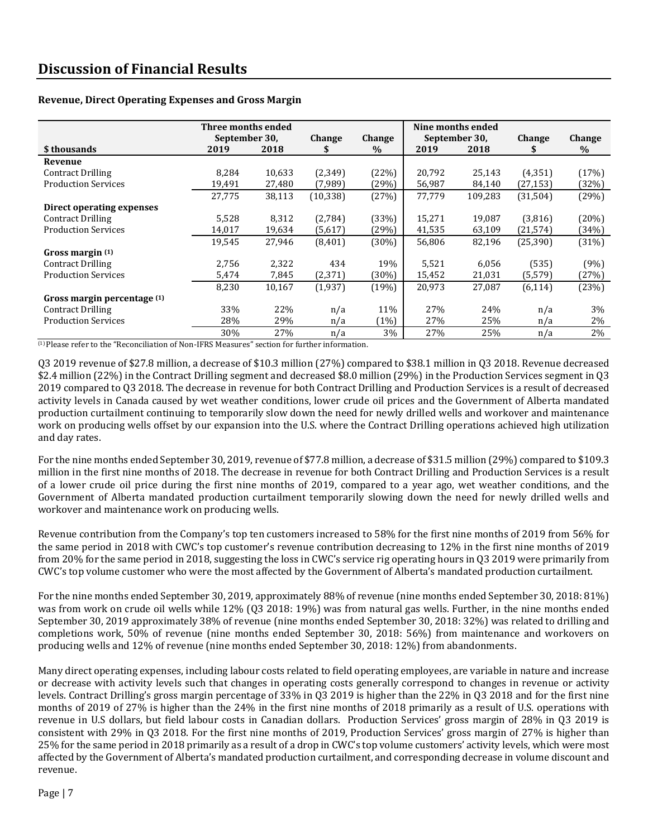| <b>Revenue, Direct Operating Expenses and Gross Margin</b> |  |
|------------------------------------------------------------|--|
|                                                            |  |

|                             | Three months ended |        |           |        |        | Nine months ended |               |        |
|-----------------------------|--------------------|--------|-----------|--------|--------|-------------------|---------------|--------|
|                             | September 30,      |        | Change    | Change |        | September 30,     | <b>Change</b> | Change |
| \$ thousands                | 2019               | 2018   | S         | $\%$   | 2019   | 2018              | S             | $\%$   |
| Revenue                     |                    |        |           |        |        |                   |               |        |
| <b>Contract Drilling</b>    | 8,284              | 10,633 | (2,349)   | (22%)  | 20,792 | 25,143            | (4, 351)      | (17%)  |
| <b>Production Services</b>  | 19,491             | 27,480 | (7,989)   | (29%)  | 56,987 | 84,140            | (27, 153)     | (32%)  |
|                             | 27,775             | 38,113 | (10, 338) | (27%)  | 77,779 | 109,283           | (31,504)      | (29%)  |
| Direct operating expenses   |                    |        |           |        |        |                   |               |        |
| <b>Contract Drilling</b>    | 5,528              | 8,312  | (2,784)   | (33%)  | 15,271 | 19,087            | (3,816)       | (20%)  |
| <b>Production Services</b>  | 14,017             | 19,634 | (5,617)   | (29%)  | 41,535 | 63,109            | (21, 574)     | (34%)  |
|                             | 19,545             | 27,946 | (8,401)   | (30%)  | 56,806 | 82,196            | (25, 390)     | (31%)  |
| Gross margin (1)            |                    |        |           |        |        |                   |               |        |
| <b>Contract Drilling</b>    | 2,756              | 2,322  | 434       | 19%    | 5,521  | 6,056             | (535)         | (9%)   |
| <b>Production Services</b>  | 5,474              | 7,845  | (2, 371)  | (30%)  | 15,452 | 21,031            | (5, 579)      | (27%)  |
|                             | 8,230              | 10,167 | (1,937)   | (19%)  | 20,973 | 27,087            | (6, 114)      | (23%)  |
| Gross margin percentage (1) |                    |        |           |        |        |                   |               |        |
| <b>Contract Drilling</b>    | 33%                | 22%    | n/a       | 11%    | 27%    | 24%               | n/a           | 3%     |
| <b>Production Services</b>  | 28%                | 29%    | n/a       | (1%)   | 27%    | 25%               | n/a           | 2%     |
|                             | 30%                | 27%    | n/a       | 3%     | 27%    | 25%               | n/a           | 2%     |

 $\overline{p}$  (1) Please refer to the "Reconciliation of Non-IFRS Measures" section for further information.

Q3 2019 revenue of \$27.8 million, a decrease of \$10.3 million (27%) compared to \$38.1 million in Q3 2018. Revenue decreased \$2.4 million (22%) in the Contract Drilling segment and decreased \$8.0 million (29%) in the Production Services segment in Q3 2019 compared to Q3 2018. The decrease in revenue for both Contract Drilling and Production Services is a result of decreased activity levels in Canada caused by wet weather conditions, lower crude oil prices and the Government of Alberta mandated production curtailment continuing to temporarily slow down the need for newly drilled wells and workover and maintenance work on producing wells offset by our expansion into the U.S. where the Contract Drilling operations achieved high utilization and day rates.

For the nine months ended September 30, 2019, revenue of \$77.8 million, a decrease of \$31.5 million (29%) compared to \$109.3 million in the first nine months of 2018. The decrease in revenue for both Contract Drilling and Production Services is a result of a lower crude oil price during the first nine months of 2019, compared to a year ago, wet weather conditions, and the Government of Alberta mandated production curtailment temporarily slowing down the need for newly drilled wells and workover and maintenance work on producing wells.

Revenue contribution from the Company's top ten customers increased to 58% for the first nine months of 2019 from 56% for the same period in 2018 with CWC's top customer's revenue contribution decreasing to 12% in the first nine months of 2019 from 20% for the same period in 2018, suggesting the loss in CWC's service rig operating hours in Q3 2019 were primarily from CWC's top volume customer who were the most affected by the Government of Alberta's mandated production curtailment.

For the nine months ended September 30, 2019, approximately 88% of revenue (nine months ended September 30, 2018: 81%) was from work on crude oil wells while 12% (Q3 2018: 19%) was from natural gas wells. Further, in the nine months ended September 30, 2019 approximately 38% of revenue (nine months ended September 30, 2018: 32%) was related to drilling and completions work, 50% of revenue (nine months ended September 30, 2018: 56%) from maintenance and workovers on producing wells and 12% of revenue (nine months ended September 30, 2018: 12%) from abandonments.

Many direct operating expenses, including labour costs related to field operating employees, are variable in nature and increase or decrease with activity levels such that changes in operating costs generally correspond to changes in revenue or activity levels. Contract Drilling's gross margin percentage of 33% in Q3 2019 is higher than the 22% in Q3 2018 and for the first nine months of 2019 of 27% is higher than the 24% in the first nine months of 2018 primarily as a result of U.S. operations with revenue in U.S dollars, but field labour costs in Canadian dollars. Production Services' gross margin of 28% in Q3 2019 is consistent with 29% in Q3 2018. For the first nine months of 2019, Production Services' gross margin of 27% is higher than 25% for the same period in 2018 primarily as a result of a drop in CWC's top volume customers' activity levels, which were most affected by the Government of Alberta's mandated production curtailment, and corresponding decrease in volume discount and revenue.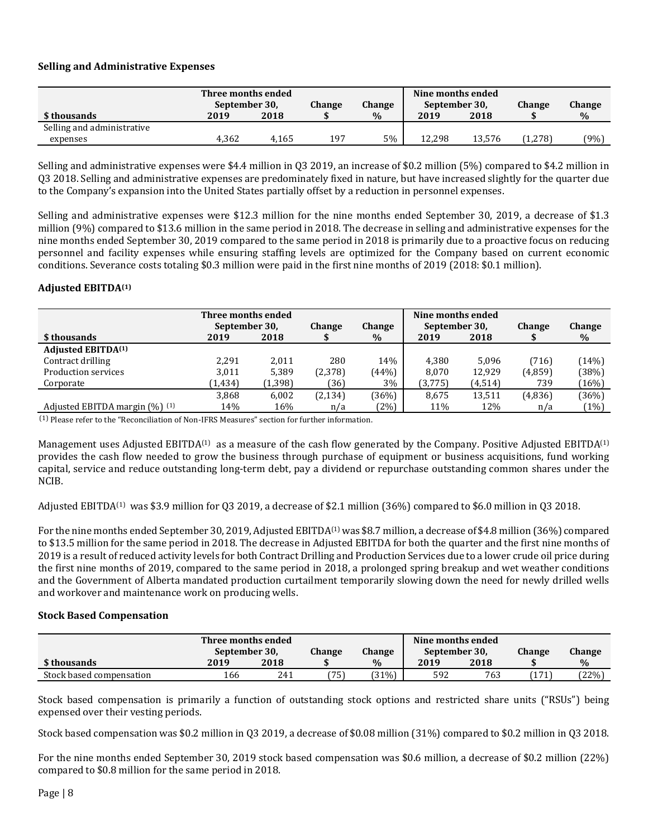### **Selling and Administrative Expenses**

|                            | Three months ended<br>September 30,<br>Change<br><b>Change</b> |       |     |      | Nine months ended<br>September 30, | Change |        |      |
|----------------------------|----------------------------------------------------------------|-------|-----|------|------------------------------------|--------|--------|------|
| \$ thousands               | 2019                                                           | 2018  |     | $\%$ | 2019                               | 2018   |        | $\%$ |
| Selling and administrative |                                                                |       |     |      |                                    |        |        |      |
| expenses                   | 4.362                                                          | 4.165 | 197 | 5%   | 12.298                             | 13.576 | 1,278) | (9%) |

Selling and administrative expenses were \$4.4 million in Q3 2019, an increase of \$0.2 million (5%) compared to \$4.2 million in Q3 2018. Selling and administrative expenses are predominately fixed in nature, but have increased slightly for the quarter due to the Company's expansion into the United States partially offset by a reduction in personnel expenses.

Selling and administrative expenses were \$12.3 million for the nine months ended September 30, 2019, a decrease of \$1.3 million (9%) compared to \$13.6 million in the same period in 2018. The decrease in selling and administrative expenses for the nine months ended September 30, 2019 compared to the same period in 2018 is primarily due to a proactive focus on reducing personnel and facility expenses while ensuring staffing levels are optimized for the Company based on current economic conditions. Severance costs totaling \$0.3 million were paid in the first nine months of 2019 (2018: \$0.1 million).

### **Adjusted EBITDA(1)**

|                                   | Three months ended<br>September 30, |         | <b>Change</b> | Change | Nine months ended<br>September 30, |         | <b>Change</b> | Change |
|-----------------------------------|-------------------------------------|---------|---------------|--------|------------------------------------|---------|---------------|--------|
| \$ thousands                      | 2019                                | 2018    |               | $\%$   | 2019                               | 2018    |               | $\%$   |
| <b>Adjusted EBITDA(1)</b>         |                                     |         |               |        |                                    |         |               |        |
| Contract drilling                 | 2.291                               | 2,011   | 280           | 14%    | 4.380                              | 5.096   | (716)         | (14%)  |
| Production services               | 3,011                               | 5,389   | (2,378)       | (44%)  | 8.070                              | 12.929  | (4, 859)      | (38%)  |
| Corporate                         | (1,434)                             | (1,398) | (36)          | 3%     | (3,775)                            | (4,514) | 739           | (16%)  |
|                                   | 3,868                               | 6,002   | (2, 134)      | (36%)  | 8.675                              | 13,511  | (4,836)       | (36%)  |
| Adjusted EBITDA margin $(\%)$ (1) | 14%                                 | 16%     | n/a           | (2%)   | 11%                                | 12%     | n/a           | (1%)   |

(1) Please refer to the "Reconciliation of Non-IFRS Measures" section for further information.

Management uses Adjusted EBITDA<sup>(1)</sup> as a measure of the cash flow generated by the Company. Positive Adjusted EBITDA<sup>(1)</sup> provides the cash flow needed to grow the business through purchase of equipment or business acquisitions, fund working capital, service and reduce outstanding long-term debt, pay a dividend or repurchase outstanding common shares under the NCIB.

Adjusted EBITDA(1) was \$3.9 million for Q3 2019, a decrease of \$2.1 million (36%) compared to \$6.0 million in Q3 2018.

For the nine months ended September 30, 2019, Adjusted EBITDA<sup>(1)</sup> was \$8.7 million, a decrease of \$4.8 million (36%) compared to \$13.5 million for the same period in 2018. The decrease in Adjusted EBITDA for both the quarter and the first nine months of 2019 is a result of reduced activity levels for both Contract Drilling and Production Services due to a lower crude oil price during the first nine months of 2019, compared to the same period in 2018, a prolonged spring breakup and wet weather conditions and the Government of Alberta mandated production curtailment temporarily slowing down the need for newly drilled wells and workover and maintenance work on producing wells.

### **Stock Based Compensation**

|                          | Three months ended |      |                                          |        |               | Nine months ended |       |       |
|--------------------------|--------------------|------|------------------------------------------|--------|---------------|-------------------|-------|-------|
|                          | September 30,      |      | Change<br>September 30,<br><b>Change</b> |        | <b>Change</b> | Change            |       |       |
| \$ thousands             | 2019               | 2018 |                                          | $\%$   | 2019          | 2018              |       | $\%$  |
| Stock based compensation | 166                | 241  | (75)                                     | $31\%$ | 592           | 763               | (171) | (22%) |

Stock based compensation is primarily a function of outstanding stock options and restricted share units ("RSUs") being expensed over their vesting periods.

Stock based compensation was \$0.2 million in Q3 2019, a decrease of \$0.08 million (31%) compared to \$0.2 million in Q3 2018.

For the nine months ended September 30, 2019 stock based compensation was \$0.6 million, a decrease of \$0.2 million (22%) compared to \$0.8 million for the same period in 2018.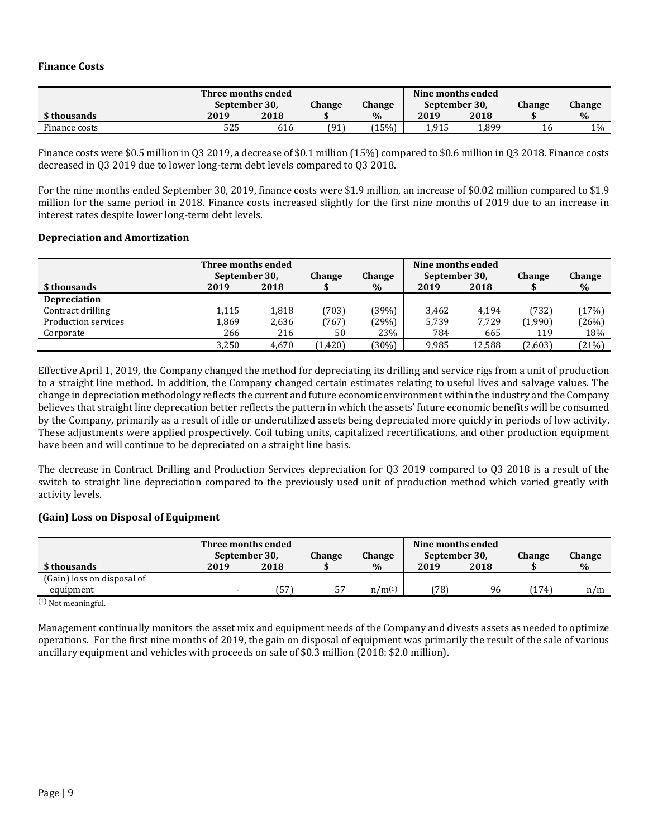### **Finance Costs**

|               | Three months ended |      |               |               |               | Nine months ended |               |        |
|---------------|--------------------|------|---------------|---------------|---------------|-------------------|---------------|--------|
|               | September 30.      |      | <b>Change</b> | <b>Change</b> | September 30, |                   | <b>Change</b> | Change |
| \$ thousands  | 2019               | 2018 |               | $\%$          | 2019          | 2018              |               | $\%$   |
| Finance costs | 525                | 616  | (91           | $15\%$        | 1.915         | 1.899             | 16            | 1%     |

Finance costs were \$0.5 million in Q3 2019, a decrease of \$0.1 million (15%) compared to \$0.6 million in Q3 2018. Finance costs decreased in Q3 2019 due to lower long-term debt levels compared to Q3 2018.

For the nine months ended September 30, 2019, finance costs were \$1.9 million, an increase of \$0.02 million compared to \$1.9 million for the same period in 2018. Finance costs increased slightly for the first nine months of 2019 due to an increase in interest rates despite lower long-term debt levels.

#### **Depreciation and Amortization**

|                     |       | Three months ended<br>September 30, |         | Change | Nine months ended<br>September 30, |        | <b>Change</b> | Change |
|---------------------|-------|-------------------------------------|---------|--------|------------------------------------|--------|---------------|--------|
| \$ thousands        | 2019  | 2018                                |         | $\%$   | 2019                               | 2018   |               | $\%$   |
| <b>Depreciation</b> |       |                                     |         |        |                                    |        |               |        |
| Contract drilling   | 1,115 | 1,818                               | (703)   | (39%)  | 3,462                              | 4.194  | (732)         | (17%)  |
| Production services | 1,869 | 2,636                               | (767)   | (29%)  | 5,739                              | 7.729  | (1,990)       | (26%)  |
| Corporate           | 266   | 216                                 | 50      | 23%    | 784                                | 665    | 119           | 18%    |
|                     | 3,250 | 4,670                               | (1,420) | (30%)  | 9,985                              | 12,588 | (2,603)       | (21%)  |

Effective April 1, 2019, the Company changed the method for depreciating its drilling and service rigs from a unit of production to a straight line method. In addition, the Company changed certain estimates relating to useful lives and salvage values. The change in depreciation methodology reflects the current and future economic environment within the industry and the Company believes that straight line deprecation better reflects the pattern in which the assets' future economic benefits will be consumed by the Company, primarily as a result of idle or underutilized assets being depreciated more quickly in periods of low activity. These adjustments were applied prospectively. Coil tubing units, capitalized recertifications, and other production equipment have been and will continue to be depreciated on a straight line basis.

The decrease in Contract Drilling and Production Services depreciation for Q3 2019 compared to Q3 2018 is a result of the switch to straight line depreciation compared to the previously used unit of production method which varied greatly with activity levels.

### **(Gain) Loss on Disposal of Equipment**

|                            |        | Three months ended<br>September 30,<br><b>Change</b><br>Change |    | Nine months ended<br>September 30. |      | Change | <b>Change</b> |      |
|----------------------------|--------|----------------------------------------------------------------|----|------------------------------------|------|--------|---------------|------|
| \$ thousands               | 2019   | 2018                                                           |    | $\%$                               | 2019 | 2018   |               | $\%$ |
| (Gain) loss on disposal of |        |                                                                |    |                                    |      |        |               |      |
| equipment                  | $\sim$ | .57                                                            | 57 | $n/m^{(1)}$                        | 78   | 96     | (174)         | n/m  |
| $(1)$ Not mooningful       |        |                                                                |    |                                    |      |        |               |      |

(1) Not meaningful.

Management continually monitors the asset mix and equipment needs of the Company and divests assets as needed to optimize operations. For the first nine months of 2019, the gain on disposal of equipment was primarily the result of the sale of various ancillary equipment and vehicles with proceeds on sale of \$0.3 million (2018: \$2.0 million).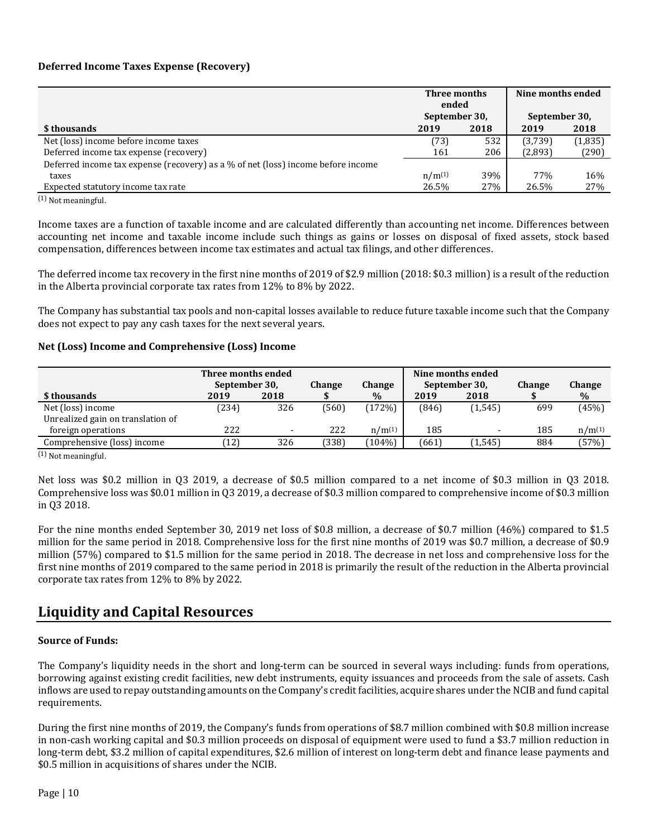### **Deferred Income Taxes Expense (Recovery)**

|                                                                                  | Three months<br>ended |      | Nine months ended |         |
|----------------------------------------------------------------------------------|-----------------------|------|-------------------|---------|
|                                                                                  | September 30,         |      | September 30,     |         |
| \$ thousands                                                                     | 2019                  | 2018 | 2019              | 2018    |
| Net (loss) income before income taxes                                            | (73)                  | 532  | (3,739)           | (1,835) |
| Deferred income tax expense (recovery)                                           | 161                   | 206  | (2,893)           | (290)   |
| Deferred income tax expense (recovery) as a % of net (loss) income before income |                       |      |                   |         |
| taxes                                                                            | $n/m^{(1)}$           | 39%  | <b>77%</b>        | 16%     |
| Expected statutory income tax rate                                               | 26.5%                 | 27%  | 26.5%             | 27%     |

 $(1)$  Not meaningful.

Income taxes are a function of taxable income and are calculated differently than accounting net income. Differences between accounting net income and taxable income include such things as gains or losses on disposal of fixed assets, stock based compensation, differences between income tax estimates and actual tax filings, and other differences.

The deferred income tax recovery in the first nine months of 2019 of \$2.9 million (2018: \$0.3 million) is a result of the reduction in the Alberta provincial corporate tax rates from 12% to 8% by 2022.

The Company has substantial tax pools and non-capital losses available to reduce future taxable income such that the Company does not expect to pay any cash taxes for the next several years.

### **Net (Loss) Income and Comprehensive (Loss) Income**

|                                   | Three months ended<br>September 30, |      | Change | Change      | Nine months ended<br>September 30, |          | <b>Change</b> | <b>Change</b> |
|-----------------------------------|-------------------------------------|------|--------|-------------|------------------------------------|----------|---------------|---------------|
| \$ thousands                      | 2019                                | 2018 |        | $\%$        | 2019                               | 2018     |               | $\%$          |
| Net (loss) income                 | (234)                               | 326  | (560)  | (172%)      | (846)                              | (1, 545) | 699           | (45%)         |
| Unrealized gain on translation of |                                     |      |        |             |                                    |          |               |               |
| foreign operations                | 222                                 |      | 222    | $n/m^{(1)}$ | 185                                |          | 185           | $n/m^{(1)}$   |
| Comprehensive (loss) income       | 12)                                 | 326  | (338)  | (104%)      | (661)                              | (1, 545) | 884           | (57%)         |

(1) Not meaningful.

Net loss was \$0.2 million in Q3 2019, a decrease of \$0.5 million compared to a net income of \$0.3 million in Q3 2018. Comprehensive loss was \$0.01 million in Q3 2019, a decrease of \$0.3 million compared to comprehensive income of \$0.3 million in Q3 2018.

For the nine months ended September 30, 2019 net loss of \$0.8 million, a decrease of \$0.7 million (46%) compared to \$1.5 million for the same period in 2018. Comprehensive loss for the first nine months of 2019 was \$0.7 million, a decrease of \$0.9 million (57%) compared to \$1.5 million for the same period in 2018. The decrease in net loss and comprehensive loss for the first nine months of 2019 compared to the same period in 2018 is primarily the result of the reduction in the Alberta provincial corporate tax rates from 12% to 8% by 2022.

### **Liquidity and Capital Resources**

#### **Source of Funds:**

The Company's liquidity needs in the short and long-term can be sourced in several ways including: funds from operations, borrowing against existing credit facilities, new debt instruments, equity issuances and proceeds from the sale of assets. Cash inflows are used to repay outstanding amounts on the Company's credit facilities, acquire shares under the NCIB and fund capital requirements.

During the first nine months of 2019, the Company's funds from operations of \$8.7 million combined with \$0.8 million increase in non-cash working capital and \$0.3 million proceeds on disposal of equipment were used to fund a \$3.7 million reduction in long-term debt, \$3.2 million of capital expenditures, \$2.6 million of interest on long-term debt and finance lease payments and \$0.5 million in acquisitions of shares under the NCIB.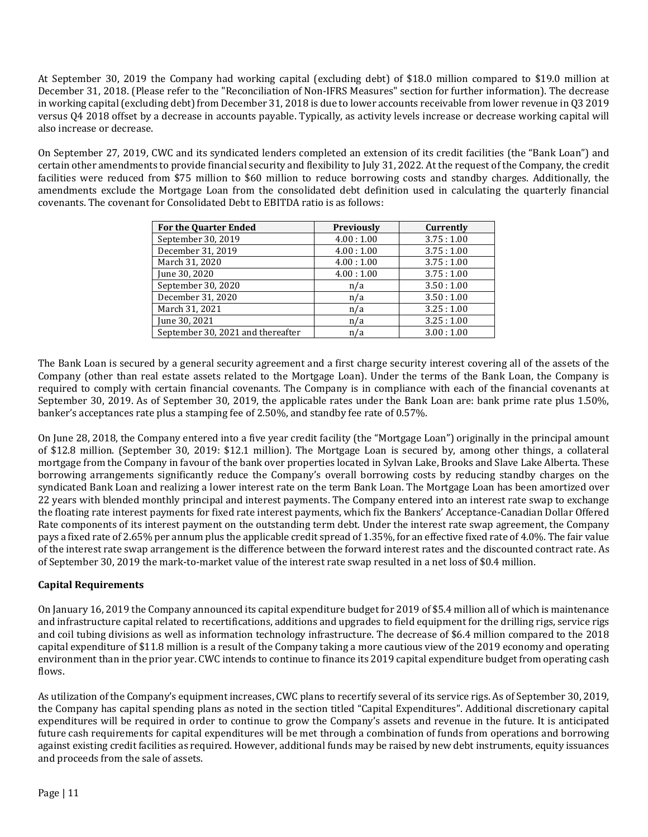At September 30, 2019 the Company had working capital (excluding debt) of \$18.0 million compared to \$19.0 million at December 31, 2018. (Please refer to the "Reconciliation of Non-IFRS Measures" section for further information). The decrease in working capital (excluding debt) from December 31, 2018 is due to lower accounts receivable from lower revenue in Q3 2019 versus Q4 2018 offset by a decrease in accounts payable. Typically, as activity levels increase or decrease working capital will also increase or decrease.

On September 27, 2019, CWC and its syndicated lenders completed an extension of its credit facilities (the "Bank Loan") and certain other amendments to provide financial security and flexibility to July 31, 2022. At the request of the Company, the credit facilities were reduced from \$75 million to \$60 million to reduce borrowing costs and standby charges. Additionally, the amendments exclude the Mortgage Loan from the consolidated debt definition used in calculating the quarterly financial covenants. The covenant for Consolidated Debt to EBITDA ratio is as follows:

| <b>For the Quarter Ended</b>      | <b>Previously</b> | Currently |
|-----------------------------------|-------------------|-----------|
| September 30, 2019                | 4.00:1.00         | 3.75:1.00 |
| December 31, 2019                 | 4.00:1.00         | 3.75:1.00 |
| March 31, 2020                    | 4.00:1.00         | 3.75:1.00 |
| June 30, 2020                     | 4.00:1.00         | 3.75:1.00 |
| September 30, 2020                | n/a               | 3.50:1.00 |
| December 31, 2020                 | n/a               | 3.50:1.00 |
| March 31, 2021                    | n/a               | 3.25:1.00 |
| June 30, 2021                     | n/a               | 3.25:1.00 |
| September 30, 2021 and thereafter | n/a               | 3.00:1.00 |

The Bank Loan is secured by a general security agreement and a first charge security interest covering all of the assets of the Company (other than real estate assets related to the Mortgage Loan). Under the terms of the Bank Loan, the Company is required to comply with certain financial covenants. The Company is in compliance with each of the financial covenants at September 30, 2019. As of September 30, 2019, the applicable rates under the Bank Loan are: bank prime rate plus 1.50%, banker's acceptances rate plus a stamping fee of 2.50%, and standby fee rate of 0.57%.

On June 28, 2018, the Company entered into a five year credit facility (the "Mortgage Loan") originally in the principal amount of \$12.8 million. (September 30, 2019: \$12.1 million). The Mortgage Loan is secured by, among other things, a collateral mortgage from the Company in favour of the bank over properties located in Sylvan Lake, Brooks and Slave Lake Alberta. These borrowing arrangements significantly reduce the Company's overall borrowing costs by reducing standby charges on the syndicated Bank Loan and realizing a lower interest rate on the term Bank Loan. The Mortgage Loan has been amortized over 22 years with blended monthly principal and interest payments. The Company entered into an interest rate swap to exchange the floating rate interest payments for fixed rate interest payments, which fix the Bankers' Acceptance-Canadian Dollar Offered Rate components of its interest payment on the outstanding term debt. Under the interest rate swap agreement, the Company pays a fixed rate of 2.65% per annum plus the applicable credit spread of 1.35%, for an effective fixed rate of 4.0%. The fair value of the interest rate swap arrangement is the difference between the forward interest rates and the discounted contract rate. As of September 30, 2019 the mark-to-market value of the interest rate swap resulted in a net loss of \$0.4 million.

### **Capital Requirements**

On January 16, 2019 the Company announced its capital expenditure budget for 2019 of \$5.4 million all of which is maintenance and infrastructure capital related to recertifications, additions and upgrades to field equipment for the drilling rigs, service rigs and coil tubing divisions as well as information technology infrastructure. The decrease of \$6.4 million compared to the 2018 capital expenditure of \$11.8 million is a result of the Company taking a more cautious view of the 2019 economy and operating environment than in the prior year. CWC intends to continue to finance its 2019 capital expenditure budget from operating cash flows.

As utilization of the Company's equipment increases, CWC plans to recertify several of its service rigs. As of September 30, 2019, the Company has capital spending plans as noted in the section titled "Capital Expenditures". Additional discretionary capital expenditures will be required in order to continue to grow the Company's assets and revenue in the future. It is anticipated future cash requirements for capital expenditures will be met through a combination of funds from operations and borrowing against existing credit facilities as required. However, additional funds may be raised by new debt instruments, equity issuances and proceeds from the sale of assets.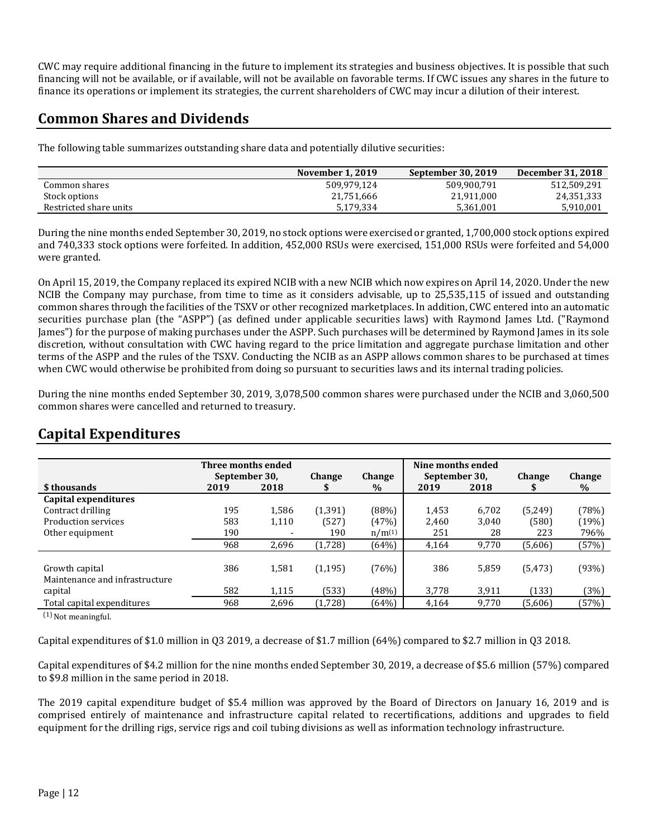CWC may require additional financing in the future to implement its strategies and business objectives. It is possible that such financing will not be available, or if available, will not be available on favorable terms. If CWC issues any shares in the future to finance its operations or implement its strategies, the current shareholders of CWC may incur a dilution of their interest.

## **Common Shares and Dividends**

The following table summarizes outstanding share data and potentially dilutive securities:

|                        | <b>November 1, 2019</b> | September 30, 2019 | December 31, 2018 |
|------------------------|-------------------------|--------------------|-------------------|
| Common shares          | 509.979.124             | 509,900,791        | 512,509,291       |
| Stock options          | 21,751,666              | 21.911.000         | 24,351,333        |
| Restricted share units | 5,179,334               | 5.361.001          | 5,910,001         |

During the nine months ended September 30, 2019, no stock options were exercised or granted, 1,700,000 stock options expired and 740,333 stock options were forfeited. In addition, 452,000 RSUs were exercised, 151,000 RSUs were forfeited and 54,000 were granted.

On April 15, 2019, the Company replaced its expired NCIB with a new NCIB which now expires on April 14, 2020. Under the new NCIB the Company may purchase, from time to time as it considers advisable, up to 25,535,115 of issued and outstanding common shares through the facilities of the TSXV or other recognized marketplaces. In addition, CWC entered into an automatic securities purchase plan (the "ASPP") (as defined under applicable securities laws) with Raymond James Ltd. ("Raymond James") for the purpose of making purchases under the ASPP. Such purchases will be determined by Raymond James in its sole discretion, without consultation with CWC having regard to the price limitation and aggregate purchase limitation and other terms of the ASPP and the rules of the TSXV. Conducting the NCIB as an ASPP allows common shares to be purchased at times when CWC would otherwise be prohibited from doing so pursuant to securities laws and its internal trading policies.

During the nine months ended September 30, 2019, 3,078,500 common shares were purchased under the NCIB and 3,060,500 common shares were cancelled and returned to treasury.

|                                | Three months ended |       |               |             | Nine months ended |       |               |        |
|--------------------------------|--------------------|-------|---------------|-------------|-------------------|-------|---------------|--------|
|                                | September 30,      |       | <b>Change</b> | Change      | September 30,     |       | <b>Change</b> | Change |
| \$thousands                    | 2019               | 2018  | S             | $\%$        | 2019              | 2018  |               | $\%$   |
| Capital expenditures           |                    |       |               |             |                   |       |               |        |
| Contract drilling              | 195                | 1,586 | (1, 391)      | (88%)       | 1,453             | 6.702 | (5,249)       | (78%)  |
| Production services            | 583                | 1,110 | (527)         | (47%)       | 2,460             | 3,040 | (580)         | (19%)  |
| Other equipment                | 190                |       | 190           | $n/m^{(1)}$ | 251               | 28    | 223           | 796%   |
|                                | 968                | 2.696 | (1,728)       | (64%)       | 4,164             | 9,770 | (5,606)       | (57%)  |
|                                |                    |       |               |             |                   |       |               |        |
| Growth capital                 | 386                | 1,581 | (1, 195)      | (76%)       | 386               | 5,859 | (5, 473)      | (93%)  |
| Maintenance and infrastructure |                    |       |               |             |                   |       |               |        |
| capital                        | 582                | 1,115 | (533)         | (48%)       | 3,778             | 3,911 | (133)         | (3%)   |
| Total capital expenditures     | 968                | 2.696 | (1,728)       | (64%)       | 4.164             | 9.770 | (5.606)       | (57%)  |

## **Capital Expenditures**

(1) Not meaningful.

Capital expenditures of \$1.0 million in Q3 2019, a decrease of \$1.7 million (64%) compared to \$2.7 million in Q3 2018.

Capital expenditures of \$4.2 million for the nine months ended September 30, 2019, a decrease of \$5.6 million (57%) compared to \$9.8 million in the same period in 2018.

The 2019 capital expenditure budget of \$5.4 million was approved by the Board of Directors on January 16, 2019 and is comprised entirely of maintenance and infrastructure capital related to recertifications, additions and upgrades to field equipment for the drilling rigs, service rigs and coil tubing divisions as well as information technology infrastructure.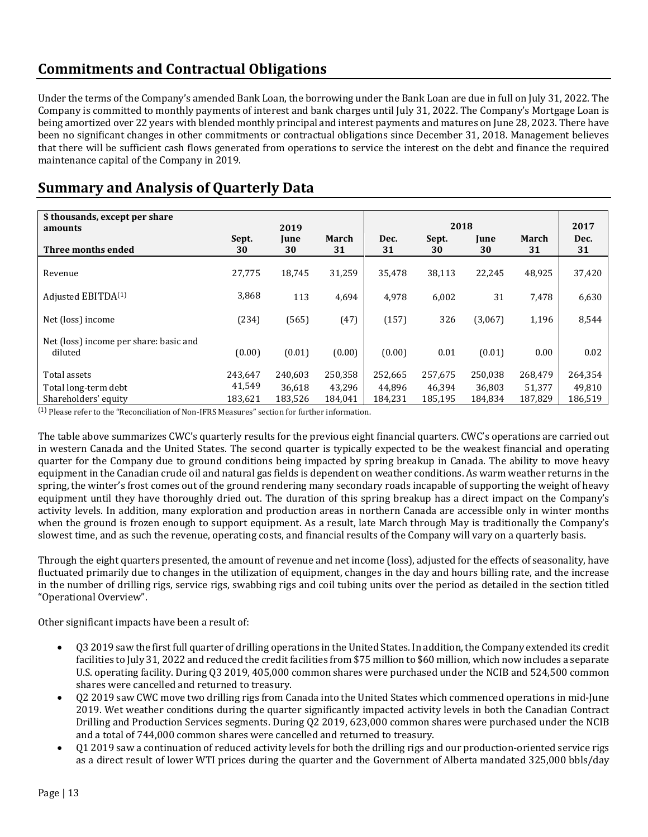# **Commitments and Contractual Obligations**

Under the terms of the Company's amended Bank Loan, the borrowing under the Bank Loan are due in full on July 31, 2022. The Company is committed to monthly payments of interest and bank charges until July 31, 2022. The Company's Mortgage Loan is being amortized over 22 years with blended monthly principal and interest payments and matures on June 28, 2023. There have been no significant changes in other commitments or contractual obligations since December 31, 2018. Management believes that there will be sufficient cash flows generated from operations to service the interest on the debt and finance the required maintenance capital of the Company in 2019.

# **Summary and Analysis of Quarterly Data**

| \$ thousands, except per share                    |         |                     |         |         | 2018    |             |         | 2017    |
|---------------------------------------------------|---------|---------------------|---------|---------|---------|-------------|---------|---------|
| amounts                                           | Sept.   | 2019<br><b>June</b> | March   | Dec.    | Sept.   | <b>June</b> | March   | Dec.    |
| Three months ended                                | 30      | 30                  | 31      | 31      | 30      | 30          | 31      | 31      |
| Revenue                                           | 27,775  | 18,745              | 31,259  | 35,478  | 38,113  | 22,245      | 48,925  | 37,420  |
| Adjusted EBITDA <sup>(1)</sup>                    | 3,868   | 113                 | 4,694   | 4,978   | 6,002   | 31          | 7,478   | 6,630   |
| Net (loss) income                                 | (234)   | (565)               | (47)    | (157)   | 326     | (3,067)     | 1,196   | 8,544   |
| Net (loss) income per share: basic and<br>diluted | (0.00)  | (0.01)              | (0.00)  | (0.00)  | 0.01    | (0.01)      | 0.00    | 0.02    |
| Total assets                                      | 243,647 | 240,603             | 250,358 | 252,665 | 257,675 | 250,038     | 268,479 | 264,354 |
| Total long-term debt                              | 41,549  | 36,618              | 43,296  | 44.896  | 46,394  | 36,803      | 51,377  | 49,810  |
| Shareholders' equity                              | 183,621 | 183,526             | 184,041 | 184,231 | 185,195 | 184,834     | 187,829 | 186,519 |

(1) Please refer to the "Reconciliation of Non-IFRS Measures" section for further information.

The table above summarizes CWC's quarterly results for the previous eight financial quarters. CWC's operations are carried out in western Canada and the United States. The second quarter is typically expected to be the weakest financial and operating quarter for the Company due to ground conditions being impacted by spring breakup in Canada. The ability to move heavy equipment in the Canadian crude oil and natural gas fields is dependent on weather conditions. As warm weather returns in the spring, the winter's frost comes out of the ground rendering many secondary roads incapable of supporting the weight of heavy equipment until they have thoroughly dried out. The duration of this spring breakup has a direct impact on the Company's activity levels. In addition, many exploration and production areas in northern Canada are accessible only in winter months when the ground is frozen enough to support equipment. As a result, late March through May is traditionally the Company's slowest time, and as such the revenue, operating costs, and financial results of the Company will vary on a quarterly basis.

Through the eight quarters presented, the amount of revenue and net income (loss), adjusted for the effects of seasonality, have fluctuated primarily due to changes in the utilization of equipment, changes in the day and hours billing rate, and the increase in the number of drilling rigs, service rigs, swabbing rigs and coil tubing units over the period as detailed in the section titled "Operational Overview".

Other significant impacts have been a result of:

- Q3 2019 saw the first full quarter of drilling operations in the United States. In addition, the Company extended its credit facilities to July 31, 2022 and reduced the credit facilities from \$75 million to \$60 million, which now includes a separate U.S. operating facility. During Q3 2019, 405,000 common shares were purchased under the NCIB and 524,500 common shares were cancelled and returned to treasury.
- Q2 2019 saw CWC move two drilling rigs from Canada into the United States which commenced operations in mid-June 2019. Wet weather conditions during the quarter significantly impacted activity levels in both the Canadian Contract Drilling and Production Services segments. During Q2 2019, 623,000 common shares were purchased under the NCIB and a total of 744,000 common shares were cancelled and returned to treasury.
- Q1 2019 saw a continuation of reduced activity levels for both the drilling rigs and our production-oriented service rigs as a direct result of lower WTI prices during the quarter and the Government of Alberta mandated 325,000 bbls/day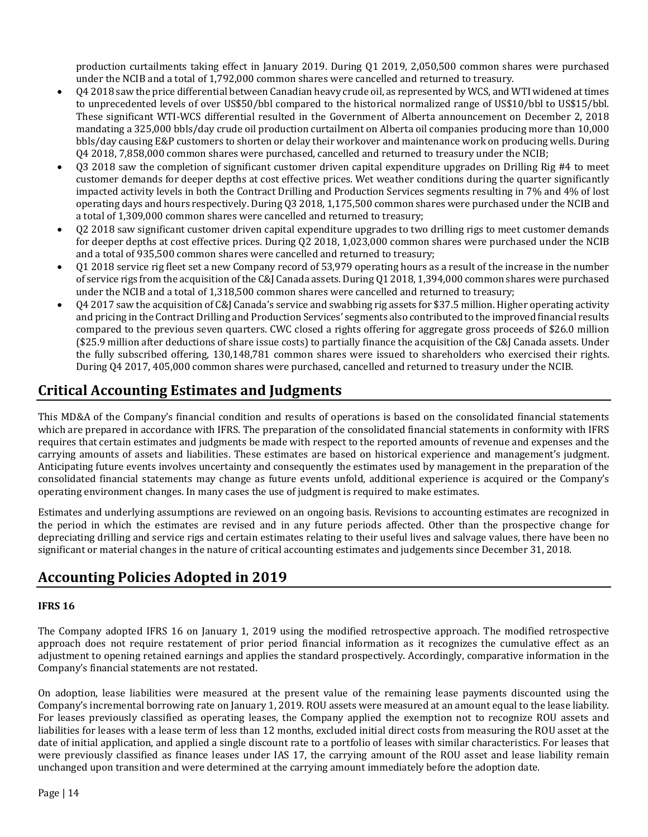production curtailments taking effect in January 2019. During Q1 2019, 2,050,500 common shares were purchased under the NCIB and a total of 1,792,000 common shares were cancelled and returned to treasury.

- Q4 2018 saw the price differential between Canadian heavy crude oil, as represented by WCS, and WTI widened at times to unprecedented levels of over US\$50/bbl compared to the historical normalized range of US\$10/bbl to US\$15/bbl. These significant WTI-WCS differential resulted in the Government of Alberta announcement on December 2, 2018 mandating a 325,000 bbls/day crude oil production curtailment on Alberta oil companies producing more than 10,000 bbls/day causing E&P customers to shorten or delay their workover and maintenance work on producing wells. During Q4 2018, 7,858,000 common shares were purchased, cancelled and returned to treasury under the NCIB;
- Q3 2018 saw the completion of significant customer driven capital expenditure upgrades on Drilling Rig #4 to meet customer demands for deeper depths at cost effective prices. Wet weather conditions during the quarter significantly impacted activity levels in both the Contract Drilling and Production Services segments resulting in 7% and 4% of lost operating days and hours respectively. During Q3 2018, 1,175,500 common shares were purchased under the NCIB and a total of 1,309,000 common shares were cancelled and returned to treasury;
- Q2 2018 saw significant customer driven capital expenditure upgrades to two drilling rigs to meet customer demands for deeper depths at cost effective prices. During Q2 2018, 1,023,000 common shares were purchased under the NCIB and a total of 935,500 common shares were cancelled and returned to treasury;
- Q1 2018 service rig fleet set a new Company record of 53,979 operating hours as a result of the increase in the number of service rigs from the acquisition of the C&J Canada assets. During Q1 2018, 1,394,000 common shares were purchased under the NCIB and a total of 1,318,500 common shares were cancelled and returned to treasury;
- Q4 2017 saw the acquisition of C&J Canada's service and swabbing rig assets for \$37.5 million. Higher operating activity and pricing in the Contract Drilling and Production Services' segments also contributed to the improved financial results compared to the previous seven quarters. CWC closed a rights offering for aggregate gross proceeds of \$26.0 million (\$25.9 million after deductions of share issue costs) to partially finance the acquisition of the C&J Canada assets. Under the fully subscribed offering, 130,148,781 common shares were issued to shareholders who exercised their rights. During Q4 2017, 405,000 common shares were purchased, cancelled and returned to treasury under the NCIB.

# **Critical Accounting Estimates and Judgments**

This MD&A of the Company's financial condition and results of operations is based on the consolidated financial statements which are prepared in accordance with IFRS. The preparation of the consolidated financial statements in conformity with IFRS requires that certain estimates and judgments be made with respect to the reported amounts of revenue and expenses and the carrying amounts of assets and liabilities. These estimates are based on historical experience and management's judgment. Anticipating future events involves uncertainty and consequently the estimates used by management in the preparation of the consolidated financial statements may change as future events unfold, additional experience is acquired or the Company's operating environment changes. In many cases the use of judgment is required to make estimates.

Estimates and underlying assumptions are reviewed on an ongoing basis. Revisions to accounting estimates are recognized in the period in which the estimates are revised and in any future periods affected. Other than the prospective change for depreciating drilling and service rigs and certain estimates relating to their useful lives and salvage values, there have been no significant or material changes in the nature of critical accounting estimates and judgements since December 31, 2018.

# **Accounting Policies Adopted in 2019**

### **IFRS 16**

The Company adopted IFRS 16 on January 1, 2019 using the modified retrospective approach. The modified retrospective approach does not require restatement of prior period financial information as it recognizes the cumulative effect as an adjustment to opening retained earnings and applies the standard prospectively. Accordingly, comparative information in the Company's financial statements are not restated.

On adoption, lease liabilities were measured at the present value of the remaining lease payments discounted using the Company's incremental borrowing rate on January 1, 2019. ROU assets were measured at an amount equal to the lease liability. For leases previously classified as operating leases, the Company applied the exemption not to recognize ROU assets and liabilities for leases with a lease term of less than 12 months, excluded initial direct costs from measuring the ROU asset at the date of initial application, and applied a single discount rate to a portfolio of leases with similar characteristics. For leases that were previously classified as finance leases under IAS 17, the carrying amount of the ROU asset and lease liability remain unchanged upon transition and were determined at the carrying amount immediately before the adoption date.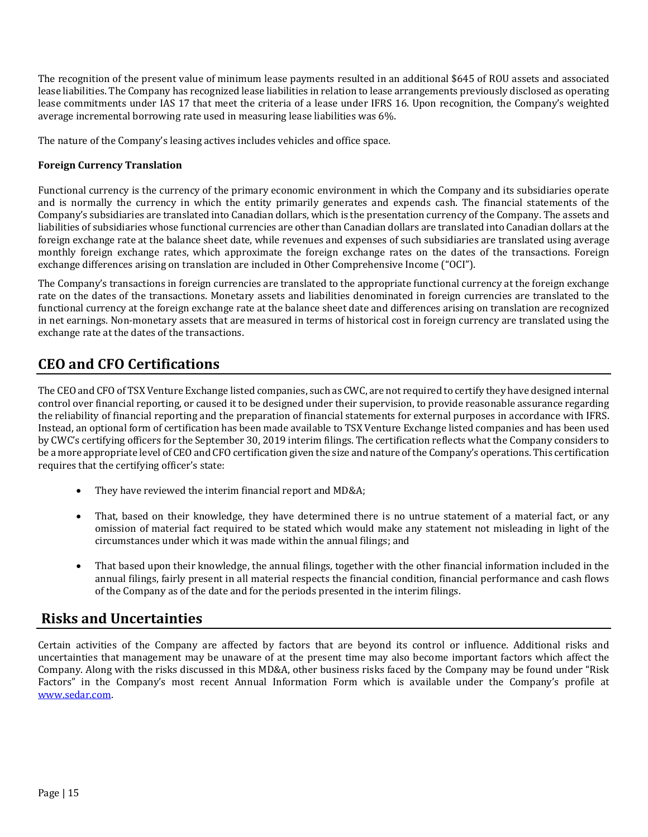The recognition of the present value of minimum lease payments resulted in an additional \$645 of ROU assets and associated lease liabilities. The Company has recognized lease liabilities in relation to lease arrangements previously disclosed as operating lease commitments under IAS 17 that meet the criteria of a lease under IFRS 16. Upon recognition, the Company's weighted average incremental borrowing rate used in measuring lease liabilities was 6%.

The nature of the Company's leasing actives includes vehicles and office space.

### **Foreign Currency Translation**

Functional currency is the currency of the primary economic environment in which the Company and its subsidiaries operate and is normally the currency in which the entity primarily generates and expends cash. The financial statements of the Company's subsidiaries are translated into Canadian dollars, which is the presentation currency of the Company. The assets and liabilities of subsidiaries whose functional currencies are other than Canadian dollars are translated into Canadian dollars at the foreign exchange rate at the balance sheet date, while revenues and expenses of such subsidiaries are translated using average monthly foreign exchange rates, which approximate the foreign exchange rates on the dates of the transactions. Foreign exchange differences arising on translation are included in Other Comprehensive Income ("OCI").

The Company's transactions in foreign currencies are translated to the appropriate functional currency at the foreign exchange rate on the dates of the transactions. Monetary assets and liabilities denominated in foreign currencies are translated to the functional currency at the foreign exchange rate at the balance sheet date and differences arising on translation are recognized in net earnings. Non-monetary assets that are measured in terms of historical cost in foreign currency are translated using the exchange rate at the dates of the transactions.

## **CEO and CFO Certifications**

The CEO and CFO of TSX Venture Exchange listed companies, such as CWC, are not required to certify they have designed internal control over financial reporting, or caused it to be designed under their supervision, to provide reasonable assurance regarding the reliability of financial reporting and the preparation of financial statements for external purposes in accordance with IFRS. Instead, an optional form of certification has been made available to TSX Venture Exchange listed companies and has been used by CWC's certifying officers for the September 30, 2019 interim filings. The certification reflects what the Company considers to be a more appropriate level of CEO and CFO certification given the size and nature of the Company's operations. This certification requires that the certifying officer's state:

- They have reviewed the interim financial report and MD&A;
- That, based on their knowledge, they have determined there is no untrue statement of a material fact, or any omission of material fact required to be stated which would make any statement not misleading in light of the circumstances under which it was made within the annual filings; and
- That based upon their knowledge, the annual filings, together with the other financial information included in the annual filings, fairly present in all material respects the financial condition, financial performance and cash flows of the Company as of the date and for the periods presented in the interim filings.

### **Risks and Uncertainties**

Certain activities of the Company are affected by factors that are beyond its control or influence. Additional risks and uncertainties that management may be unaware of at the present time may also become important factors which affect the Company. Along with the risks discussed in this MD&A, other business risks faced by the Company may be found under "Risk Factors" in the Company's most recent Annual Information Form which is available under the Company's profile at www.sedar.com.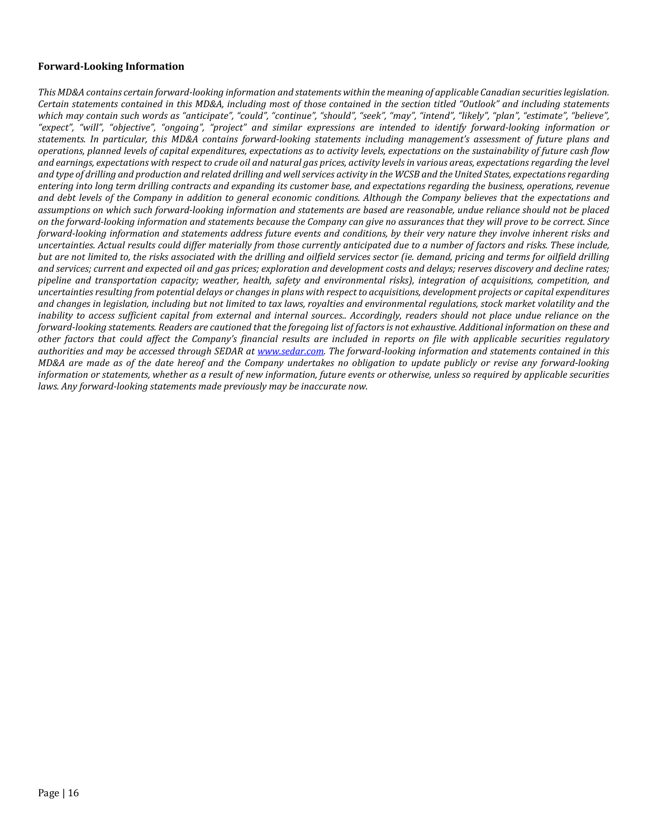### **Forward‐Looking Information**

This MD&A contains certain forward-looking information and statements within the meaning of applicable Canadian securities legislation. Certain statements contained in this MD&A, including most of those contained in the section titled "Outlook" and including statements which may contain such words as "anticipate", "could", "continue", "should", "seek", "may", "intend", "likely", "plan", "estimate", "believe", "expect", "will", "objective", "ongoing", "project" and similar expressions are intended to identify forward-looking information or statements. In particular, this MD&A contains forward-looking statements including management's assessment of future plans and operations, planned levels of capital expenditures, expectations as to activity levels, expectations on the sustainability of future cash flow and earnings, expectations with respect to crude oil and natural gas prices, activity levels in various areas, expectations regarding the level and type of drilling and production and related drilling and well services activity in the WCSB and the United States, expectations regarding entering into long term drilling contracts and expanding its customer base, and expectations regarding the business, operations, revenue and debt levels of the Company in addition to general economic conditions. Although the Company believes that the expectations and assumptions on which such forward-looking information and statements are based are reasonable, undue reliance should not be placed on the forward-looking information and statements because the Company can give no assurances that they will prove to be correct. Since forward-looking information and statements address future events and conditions, by their very nature they involve inherent risks and uncertainties. Actual results could differ materially from those currently anticipated due to a number of factors and risks. These include, but are not limited to, the risks associated with the drilling and oilfield services sector (ie. demand, pricing and terms for oilfield drilling and services; current and expected oil and gas prices; exploration and development costs and delays; reserves discovery and decline rates; pipeline and transportation capacity; weather, health, safety and environmental risks), integration of acquisitions, competition, and uncertainties resulting from potential delays or changes in plans with respect to acquisitions, development projects or capital expenditures and changes in legislation, including but not limited to tax laws, rovalties and environmental regulations, stock market volatility and the inability to access sufficient capital from external and internal sources.. Accordinaly, readers should not place undue reliance on the forward-looking statements. Readers are cautioned that the foregoing list of factors is not exhaustive. Additional information on these and other factors that could affect the Company's financial results are included in reports on file with applicable securities regulatory authorities and may be accessed through SEDAR at www.sedar.com. The forward-looking information and statements contained in this MD&A are made as of the date hereof and the Company undertakes no obligation to update publicly or revise any forward-looking information or statements, whether as a result of new information, future events or otherwise, unless so required by applicable securities *laws. Any forward‐looking statements made previously may be inaccurate now.*